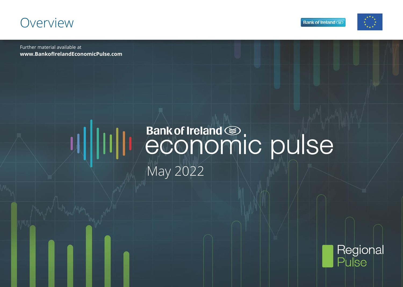



Further material available at **www.BankofIrelandEconomicPulse.com**

# May 2022



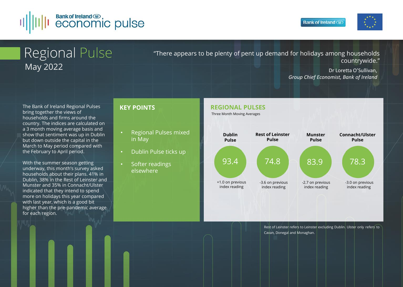



"There appears to be plenty of pent up demand for holidays among households countrywide."

Dr Loretta O'Sullivan, *Group Chief Economist, Bank of Ireland*

The Bank of Ireland Regional Pulses bring together the views of households and firms around the country. The indices are calculated on a 3 month moving average basis and show that sentiment was up in Dublin but down outside the capital in the March to May period compared with the February to April period.

With the summer season getting underway, this month's survey asked households about their plans. 41% in Dublin, 38% in the Rest of Leinster and Munster and 35% in Connacht/Ulster indicated that they intend to spend more on holidays this year compared with last year, which is a good bit higher than the pre-pandemic average for each region.

- Regional Pulses mixed in May
- Dublin Pulse ticks up
- Softer readings elsewhere

**KEY POINTS REGIONAL PULSES** 

Three Month Moving Averages



Rest of Leinster refers to Leinster excluding Dublin. Ulster only refers to Cavan, Donegal and Monaghan.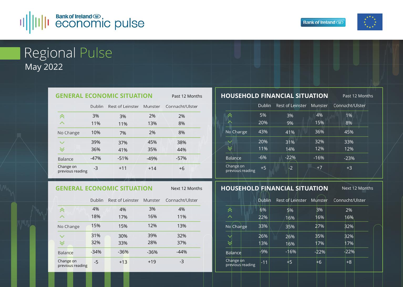





### **GENERAL ECONOMIC SITUATION**

Past 12 Months

|                               | Dublin | <b>Rest of Leinster</b> | Munster | Connacht/Ulster |
|-------------------------------|--------|-------------------------|---------|-----------------|
|                               | 3%     | 3%                      | 2%      | 2%              |
|                               | 11%    | 11%                     | 13%     | 8%              |
| No Change                     | 10%    | 7%                      | 2%      | 8%              |
|                               | 39%    | 37%                     | 45%     | 38%             |
|                               | 36%    | 41%                     | 35%     | 44%             |
| Balance                       | $-47%$ | $-51%$                  | $-49%$  | $-57%$          |
| Change on<br>previous reading | $-3$   | $+11$                   | $+14$   | +6              |

### **HOUSEHOLD FINANCIAL SITUATION** Past 12 Months Dublin Rest of Leinster Munster Connacht/Ulster  $\mathbin{\mathbb A}$ 4% 5% 3% 1%  $\triangleright$ 20% 15% 8% 9% No Change 43% 36% 45% 41% 32% 33%  $\checkmark$ 20% 31%  $\vee$ 12% 11% 14% 12% Balance -6% -22% -16% -23% Change on +5  $\vert$ -2 +7 +3 previous reading

### **GENERAL ECONOMIC SITUATION**

Next 12 Months

|                               | Dublin | <b>Rest of Leinster</b> | Munster | Connacht/Ulster |
|-------------------------------|--------|-------------------------|---------|-----------------|
|                               | 4%     | 4%                      | 3%      | 4%              |
|                               | 18%    | 17%                     | 16%     | 11%             |
| No Change                     | 15%    | 15%                     | 12%     | 13%             |
|                               | 31%    | 30%                     | 39%     | 32%             |
|                               | 32%    | 33%                     | 28%     | 37%             |
| Balance                       | $-34%$ | $-36%$                  | $-36%$  | $-44%$          |
| Change on<br>previous reading | -5     | $+13$                   | $+19$   | -3              |

| <b>HOUSEHOLD FINANCIAL SITUATION</b> | Next 12 Months |                         |         |                 |
|--------------------------------------|----------------|-------------------------|---------|-----------------|
|                                      | <b>Dublin</b>  | <b>Rest of Leinster</b> | Munster | Connacht/Ulster |
| ∧                                    | 6%             | 5%                      | 3%      | 2%              |
|                                      | 22%            | 16%                     | 16%     | 16%             |
| No Change                            | 33%            | 35%                     | 27%     | 32%             |
|                                      | 26%            | 26%                     | 35%     | 32%             |
|                                      | 13%            | 16%                     | 17%     | 17%             |
| <b>Balance</b>                       | $-9%$          | $-16%$                  | $-22%$  | $-22%$          |
| Change on<br>previous reading        | $-11$          | +5                      | +6      | $+8$            |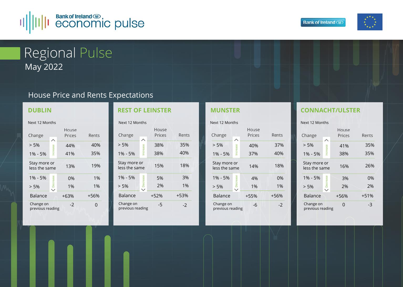





# House Price and Rents Expectations

| <b>REST OF LEINSTE</b> |  |  |
|------------------------|--|--|
|                        |  |  |

| Change                        |         | House<br>Prices | Rents |
|-------------------------------|---------|-----------------|-------|
| > 5%                          |         | 44%             | 40%   |
| 1% - 5%                       | ncrease | 41%             | 35%   |
| Stay more or<br>less the same |         | 13%             | 19%   |
| 1% - 5%                       |         | 0%              | $1\%$ |
| > 5%                          |         | 1%              | 1%    |
| <b>Balance</b>                |         | $+63%$          | +56%  |
| Change on<br>previous reading |         | -2              | ი     |

| Next 12 Months                |                 |       |
|-------------------------------|-----------------|-------|
| Change                        | House<br>Prices | Rents |
| > 5%                          | 38%             | 35%   |
| 1% - 5%                       | 38%             | 40%   |
| Stay more or<br>less the same | 15%             | 18%   |
| 1% - 5%                       | 5%              | 3%    |
| > 5%                          | 2%              | 1%    |
| <b>Balance</b>                | +52%            | +53%  |
| Change on<br>previous reading | -5              | -2    |

| Next 12 Months                |        |       |
|-------------------------------|--------|-------|
|                               | House  |       |
| Change                        | Prices | Rents |
| > 5%                          | 40%    | 37%   |
| 1% - 5%                       | 37%    | 40%   |
| Stay more or<br>less the same | 14%    | 18%   |
| 1% - 5%                       | 4%     | 0%    |
| > 5%                          | 1%     | 1%    |
| Balance                       | +55%   | +56%  |
| Change on<br>previous reading | -6     | $-2$  |

## **DUBLIN REST OF LEINSTER MUNSTER MUNSTER CONNACHT/ULSTER**

### Next 12 Months

|                               | House  |        |
|-------------------------------|--------|--------|
| Change                        | Prices | Rents  |
| > 5%                          | 41%    | 35%    |
| 1% - 5%                       | 38%    | 35%    |
| Stay more or<br>less the same | 16%    | 26%    |
| 1% - 5%                       | 3%     | 0%     |
| > 5%                          | 2%     | 2%     |
| <b>Balance</b>                | +56%   | $+51%$ |
| Change on<br>previous reading | ი      | -3     |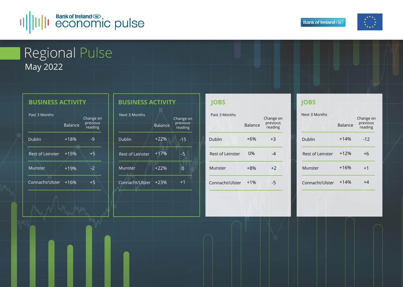





# **BUSINESS ACTIVITY BUSINESS ACTIVITY JOBS JOBS**

| Past 3 Months           | Balance | Change on<br>previous<br>reading |
|-------------------------|---------|----------------------------------|
| Dublin                  | $+18%$  | -9                               |
| <b>Rest of Leinster</b> | $+15%$  | $+5$                             |
| Munster                 | $+19%$  | -2                               |
| Connacht/Ulster         | $+16%$  | $+5$                             |

| <b>Balance</b>          | Change on<br>previous<br>reading | Next 3 Months    | Balance | Change on<br>previous<br>reading | Past 3 Months    | Balance | Change on<br>previous<br>reading | Next 3 Months        |
|-------------------------|----------------------------------|------------------|---------|----------------------------------|------------------|---------|----------------------------------|----------------------|
| $+18%$                  | $-9$                             | <b>Dublin</b>    | $+22%$  | $-15$                            | <b>Dublin</b>    | $+6%$   | $+3$                             | Dublin               |
| $+15%$                  | $+5$                             | Rest of Leinster | $+17%$  | $-5$                             | Rest of Leinster | 0%      | $-4$                             | <b>Rest of Leins</b> |
| $+19%$                  | $-2$                             | Munster          | $+22%$  | $\overline{0}$                   | Munster          | $+8%$   | $+2$                             | Munster              |
| $+16%$                  | $+5$                             |                  | $+23%$  | $+1$                             |                  | $+1\%$  | $-5$                             | Connacht/Uls         |
| <b>Rest of Leinster</b> | Connacht/Ulster                  |                  |         | Connacht/Ulster                  |                  |         | Connacht/Ulster                  |                      |

| Past 3 Months           | Balance | Change on<br>previous<br>reading |
|-------------------------|---------|----------------------------------|
| Dublin                  | +6%     | $+3$                             |
| <b>Rest of Leinster</b> | $0\%$   | -4                               |
| Munster                 | $+8%$   | $+2$                             |
| Connacht/Ulster         | $+1%$   | -5                               |

| nge on<br>vious <sup>.</sup><br>ading | Next 3 Months           | <b>Balance</b> | Change on<br>previous<br>reading |
|---------------------------------------|-------------------------|----------------|----------------------------------|
| +3                                    | Dublin                  | $+14%$         | $-12$                            |
| -4                                    | <b>Rest of Leinster</b> | $+12%$         | +6                               |
| $+2$                                  | Munster                 | $+16%$         | $+1$                             |
| -5                                    | Connacht/Ulster         | $+14%$         | +4                               |